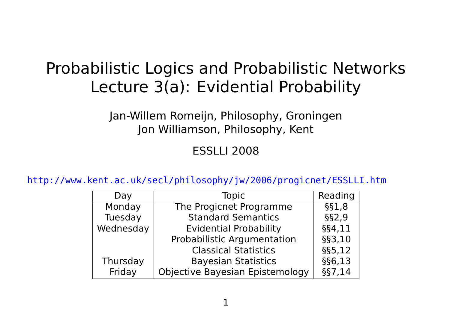# Probabilistic Logics and Probabilistic Networks Lecture 3(a): Evidential Probability

Jan-Willem Romeijn, Philosophy, Groningen Jon Williamson, Philosophy, Kent

#### ESSLLI 2008

<http://www.kent.ac.uk/secl/philosophy/jw/2006/progicnet/ESSLLI.htm>

| Day       | <b>Topic</b>                    | Reading  |
|-----------|---------------------------------|----------|
| Monday    | The Progicnet Programme         | $§$ §1,8 |
| Tuesday   | <b>Standard Semantics</b>       | §§2,9    |
| Wednesday | <b>Evidential Probability</b>   | §§4,11   |
|           | Probabilistic Argumentation     | §§3,10   |
|           | <b>Classical Statistics</b>     | §§5,12   |
| Thursday  | <b>Bayesian Statistics</b>      | §§6,13   |
| Friday    | Objective Bayesian Epistemology | §§7,14   |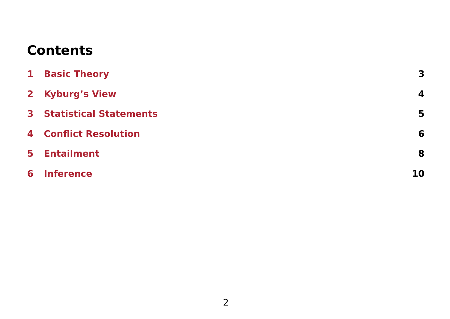### **Contents**

|   | <b>1 Basic Theory</b>           | $\mathbf{3}$ |
|---|---------------------------------|--------------|
|   | 2 Kyburg's View                 | 4            |
|   | <b>3</b> Statistical Statements | 5            |
|   | <b>4</b> Conflict Resolution    | 6            |
|   | <b>5</b> Entailment             | 8            |
| 6 | <b>Inference</b>                | 10           |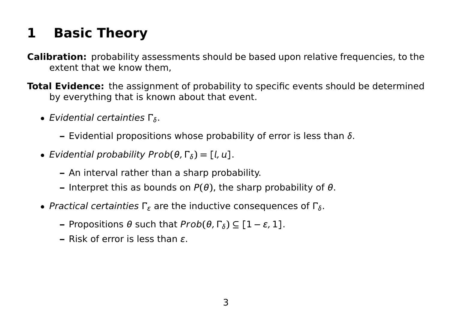# <span id="page-2-0"></span>**1 Basic Theory**

- **Calibration:** probability assessments should be based upon relative frequencies, to the extent that we know them,
- **Total Evidence:** the assignment of probability to specific events should be determined by everything that is known about that event.
	- **•** Evidential certainties  $\Gamma_{\delta}$ .
		- **–** Evidential propositions whose probability of error is less than δ.
	- **•** Evidential probability Prob $(\theta, \Gamma_{\delta}) = [l, u].$ 
		- **–** An interval rather than a sharp probability.
		- **–** Interpret this as bounds on P**(**θ**)**, the sharp probability of θ.
	- Practical certainties  $\Gamma_{\varepsilon}$  are the inductive consequences of  $\Gamma_{\delta}$ .
		- $\theta$  such that  $Prob(θ, Γ_δ) ⊆ [1 − ε, 1].$
		- **–** Risk of error is less than ϵ.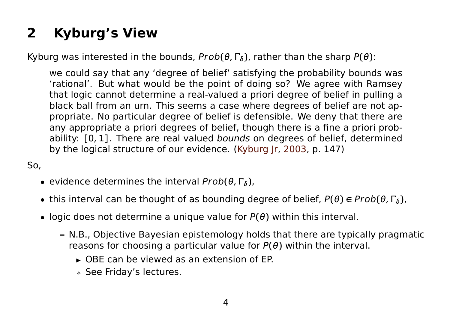# <span id="page-3-0"></span>**2 Kyburg's View**

Kyburg was interested in the bounds,  $Prob(\theta, \Gamma_{\delta})$ , rather than the sharp  $P(\theta)$ :

we could say that any 'degree of belief' satisfying the probability bounds was 'rational'. But what would be the point of doing so? We agree with Ramsey that logic cannot determine a real-valued a priori degree of belief in pulling a black ball from an urn. This seems a case where degrees of belief are not appropriate. No particular degree of belief is defensible. We deny that there are any appropriate a priori degrees of belief, though there is a fine a priori probability: **[**0, 1**]**. There are real valued bounds on degrees of belief, determined by the logical structure of our evidence. [\(Kyburg Jr,](#page-12-0) [2003,](#page-12-0) p. 147)

#### So,

- **•** evidence determines the interval  $Prob(\theta, \Gamma_{\delta})$ ,
- this interval can be thought of as bounding degree of belief, P**(**θ**) ∈** Prob**(**θ, δ**)**,
- logic does not determine a unique value for P**(**θ**)** within this interval.
	- **–** N.B., Objective Bayesian epistemology holds that there are typically pragmatic reasons for choosing a particular value for P**(**θ**)** within the interval.
		- **E** OBE can be viewed as an extension of FP.
		- \* See Friday's lectures.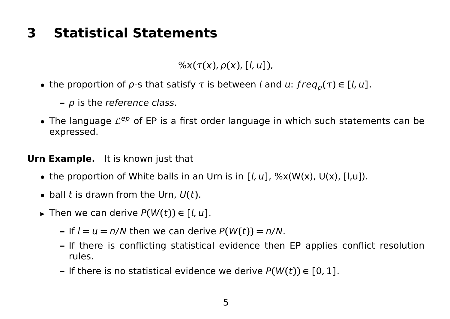## <span id="page-4-0"></span>**3 Statistical Statements**

 $\frac{1}{2}$  ( $\frac{x}{r(x)}$ ,  $\rho(x)$ ,  $\lceil \frac{1}{r(x)} \rceil$ ),

- the proportion of  $\rho$ -s that satisfy  $\tau$  is between *l* and  $u: freq_{\rho}(\tau) \in [l, u]$ .
	- **–** ρ is the reference class.
- The language  $\mathcal{L}^{ep}$  of EP is a first order language in which such statements can be expressed.

#### **Urn Example.** It is known just that

- the proportion of White balls in an Urn is in  $[L, u]$ , %x(W(x), U(x),  $[I, u]$ ).
- $\bullet$  ball t is drawn from the Urn,  $U(t)$ .
- ► Then we can derive  $P(W(t)) \in [l, u]$ .
	- **–** If  $l = u = n/N$  then we can derive  $P(W(t)) = n/N$ .
	- **–** If there is conflicting statistical evidence then EP applies conflict resolution rules.
	- **–** If there is no statistical evidence we derive P**(**W**(**t**)) ∈ [**0, 1**]**.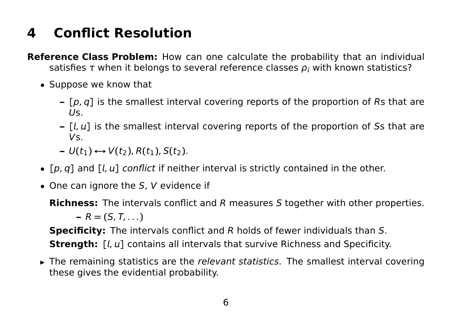## <span id="page-5-0"></span>**4 Conflict Resolution**

**Reference Class Problem:** How can one calculate the probability that an individual satisfies  $\tau$  when it belongs to several reference classes  $\rho_i$  with known statistics?

- Suppose we know that
	- **– [**p, q**]** is the smallest interval covering reports of the proportion of Rs that are  $Us$ .
	- **– [**, **]** is the smallest interval covering reports of the proportion of Ss that are Vs.
	- $\rightarrow$  U(t<sub>1</sub>)  $\leftrightarrow$  V(t<sub>2</sub>), R(t<sub>1</sub>), S(t<sub>2</sub>).
- [p, q] and [l, u] conflict if neither interval is strictly contained in the other.
- $\bullet$  One can ignore the S, V evidence if

**Richness:** The intervals conflict and R measures S together with other properties.  $-R = (S, T, \ldots)$ **Specificity:** The intervals conflict and R holds of fewer individuals than S.

**Strength:** [*l, u*] contains all intervals that survive Richness and Specificity.

**E** The remaining statistics are the relevant statistics. The smallest interval covering these gives the evidential probability.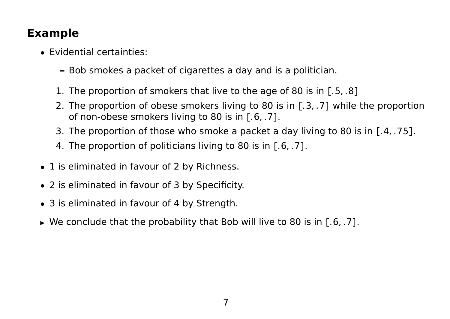#### **Example**

- Evidential certainties:
	- **–** Bob smokes a packet of cigarettes a day and is a politician.
	- 1. The proportion of smokers that live to the age of 80 is in **[**.5, .8**]**
	- 2. The proportion of obese smokers living to 80 is in **[**.3, .7**]** while the proportion of non-obese smokers living to 80 is in **[**.6, .7**]**.
	- 3. The proportion of those who smoke a packet a day living to 80 is in **[**.4, .75**]**.
	- 4. The proportion of politicians living to 80 is in **[**.6, .7**]**.
- 1 is eliminated in favour of 2 by Richness.
- 2 is eliminated in favour of 3 by Specificity.
- 3 is eliminated in favour of 4 by Strength.
- **<sup>É</sup>** We conclude that the probability that Bob will live to 80 is in **[**.6, .7**]**.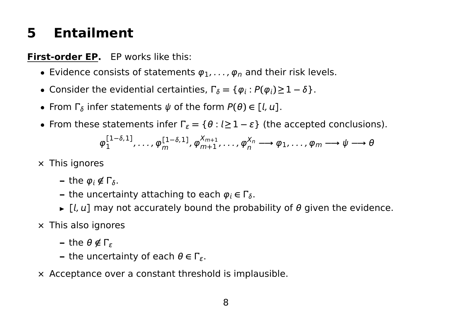## <span id="page-7-0"></span>**5 Entailment**

#### **First-order EP.** EP works like this:

- **Evidence consists of statements**  $\varphi_1, \ldots, \varphi_n$  **and their risk levels.**
- Consider the evidential certainties,  $\Gamma_{\delta} = \{ \varphi_i : P(\varphi_i) \geq 1 \delta \}.$
- **•** From  $\Gamma_{\delta}$  infer statements  $\psi$  of the form  $P(\theta) \in [\ell, u]$ .
- From these statements infer  $\Gamma_{\varepsilon} = \{\theta : l \geq 1 \varepsilon\}$  (the accepted conclusions).

$$
\varphi_1^{[1-\delta,1]}, \ldots, \varphi_m^{[1-\delta,1]}, \varphi_{m+1}^{X_{m+1}}, \ldots, \varphi_n^{X_n} \longrightarrow \varphi_1, \ldots, \varphi_m \longrightarrow \psi \longrightarrow \theta
$$

- **×** This ignores
	- **–** the  $\varphi_i \notin \Gamma_{\delta}$ .
	- **–** the uncertainty attaching to each  $\varphi_i \in \Gamma_{\delta}$ .
	- $\blacktriangleright$   $\lceil l, u \rceil$  may not accurately bound the probability of  $\theta$  given the evidence.
- **×** This also ignores
	- **–** the θ **6∈** <sup>ϵ</sup>
	- **–** the uncertainty of each  $\theta \in \Gamma_{\varepsilon}$ .
- **×** Acceptance over a constant threshold is implausible.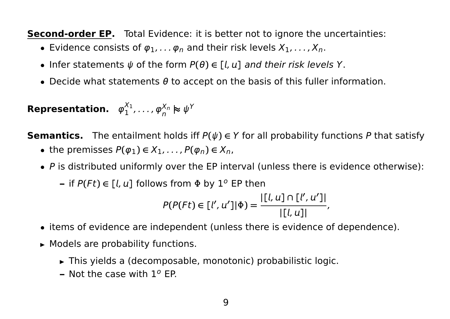**Second-order EP.** Total Evidence: it is better not to ignore the uncertainties:

- Evidence consists of  $\varphi_1, \ldots, \varphi_n$  and their risk levels  $X_1, \ldots, X_n$ .
- **•** Infer statements  $\psi$  of the form  $P(\theta) \in [l, u]$  and their risk levels Y.
- Decide what statements  $\theta$  to accept on the basis of this fuller information.

**Representation.**  $\varphi_1^{X_1}$  $\mathcal{P}_1^{\mathsf{X}_1}, \ldots, \boldsymbol{\varphi}_n^{\mathsf{X}_n} \boldsymbol{\thickapprox} \psi^{\mathsf{Y}_n}$ 

**Semantics.** The entailment holds iff  $P(\psi) \in Y$  for all probability functions P that satisfy

- the premisses  $P(\varphi_1) \in X_1, \ldots, P(\varphi_n) \in X_n$ ,
- $\bullet$  P is distributed uniformly over the EP interval (unless there is evidence otherwise):
	- $\mathsf{P}(F t) \in [l, u]$  follows from  $\Phi$  by  $1^{\circ}$  EP then

$$
P(P(Ft) \in [l', u'] | \Phi) = \frac{|[l, u] \cap [l', u']|}{|[l, u]|},
$$

- items of evidence are independent (unless there is evidence of dependence).
- ► Models are probability functions.
	- **É** This yields a (decomposable, monotonic) probabilistic logic.
	- **-** Not the case with 1<sup>o</sup> EP.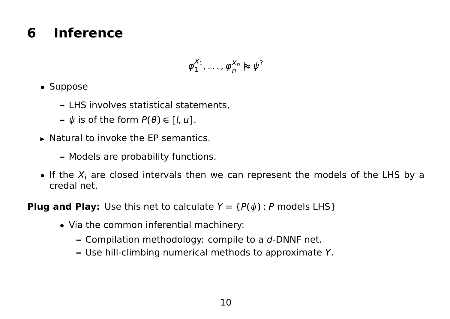## <span id="page-9-0"></span>**6 Inference**

$$
\varphi_1^{X_1},\ldots,\varphi_n^{X_n}\approx\psi^?
$$

- Suppose
	- **–** LHS involves statistical statements,
	- $\psi$  is of the form  $P(\theta) \in [l, u]$ .
- **E** Natural to invoke the EP semantics.
	- **–** Models are probability functions.
- If the  $X_i$  are closed intervals then we can represent the models of the LHS by a credal net.

**Plug and Play:** Use this net to calculate  $Y = {P(\psi): P \text{ models LHS}}$ 

- Via the common inferential machinery:
	- **–** Compilation methodology: compile to a d-DNNF net.
	- **–** Use hill-climbing numerical methods to approximate Y.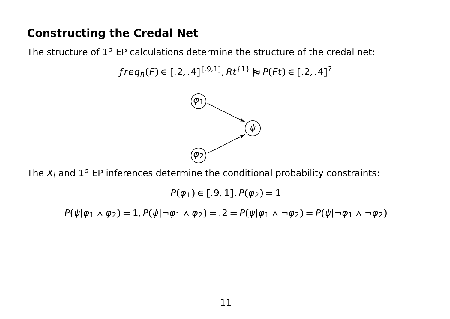#### **Constructing the Credal Net**

The structure of  $1^o$  EP calculations determine the structure of the credal net:

```
\int freq_{R}(F) \in [.2, .4]^{[.9,1]}, Rt^{\{1\}} \approx P(Ft) \in [.2, .4]^{?}
```


The  $X_i$  and  $1^o$  EP inferences determine the conditional probability constraints:

 $P(\varphi_1) \in [.9, 1], P(\varphi_2) = 1$ 

 $P(\psi|\varphi_1 \wedge \varphi_2) = 1$ ,  $P(\psi|\neg \varphi_1 \wedge \varphi_2) = 0.2 = P(\psi|\varphi_1 \wedge \neg \varphi_2) = P(\psi|\neg \varphi_1 \wedge \neg \varphi_2)$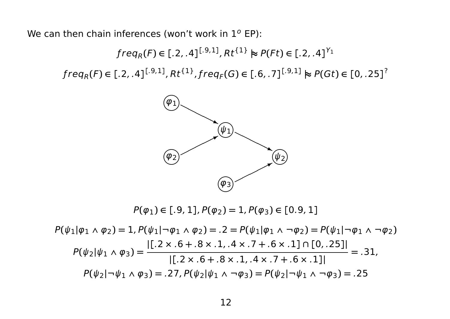We can then chain inferences (won't work in  $1^o$  EP):

 $\int freq_{R}(F) \in [.2, .4]^{[.9,1]}, Rt^{\{1\}} \approx P(Ft) \in [.2, .4]^{Y_{1}}$ freq<sub>R</sub>(F)  $\in$  [.2, .4]<sup>[.9,1]</sup>, Rt<sup>{1}</sup>, freq<sub>F</sub>(G)  $\in$  [.6, .7]<sup>[.9,1]</sup>  $\approx$  P(Gt)  $\in$  [0, .25]<sup>?</sup>



 $P(\varphi_1) \in [.9, 1], P(\varphi_2) = 1, P(\varphi_3) \in [.0.9, 1]$ 

$$
P(\psi_1|\varphi_1 \wedge \varphi_2) = 1, P(\psi_1|\neg \varphi_1 \wedge \varphi_2) = .2 = P(\psi_1|\varphi_1 \wedge \neg \varphi_2) = P(\psi_1|\neg \varphi_1 \wedge \neg \varphi_2)
$$
  
\n
$$
P(\psi_2|\psi_1 \wedge \varphi_3) = \frac{|[.2 \times .6 + .8 \times .1, .4 \times .7 + .6 \times .1] \cap [0, .25]|}{|[.2 \times .6 + .8 \times .1, .4 \times .7 + .6 \times .1]|} = .31,
$$
  
\n
$$
P(\psi_2|\neg \psi_1 \wedge \varphi_3) = .27, P(\psi_2|\psi_1 \wedge \neg \varphi_3) = P(\psi_2|\neg \psi_1 \wedge \neg \varphi_3) = .25
$$